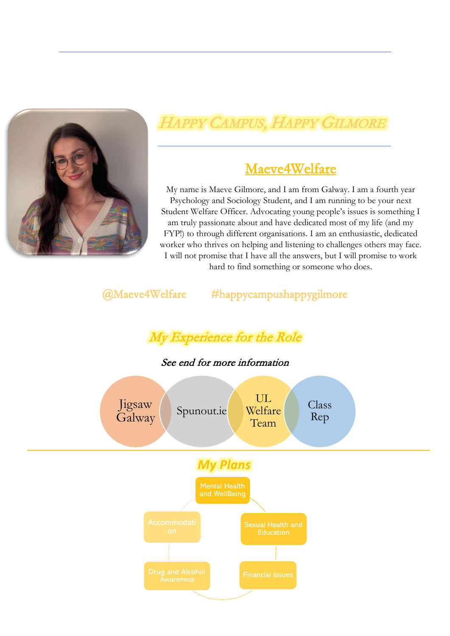

# HAPPY CAMPUS, HAPPY GILMORE

## Maeve4Welfare

My name is Maeve Gilmore, and I am from Galway. I am a fourth year Psychology and Sociology Student, and I am running to be your next Student Welfare Officer. Advocating young people's issues is something I am truly passionate about and have dedicated most of my life (and my FYP!) to through different organisations. I am an enthusiastic, dedicated worker who thrives on helping and listening to challenges others may face. I will not promise that I have all the answers, but I will promise to work hard to find something or someone who does.

### @Maeve4Welfare #happycampushappygilmore

# My Experience for the Role

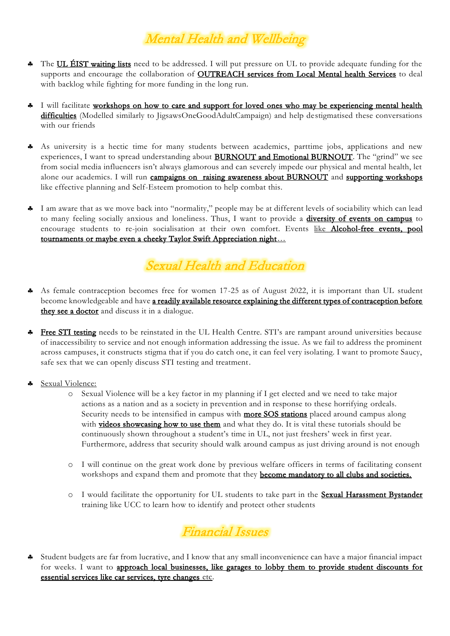## Mental Health and Wellbeing

- The UL ÉIST waiting lists need to be addressed. I will put pressure on UL to provide adequate funding for the supports and encourage the collaboration of **OUTREACH** services from Local Mental health Services to deal with backlog while fighting for more funding in the long run.
- I will facilitate workshops on how to care and support for loved ones who may be experiencing mental health difficulties (Modelled similarly to JigsawsOneGoodAdultCampaign) and help destigmatised these conversations with our friends
- As university is a hectic time for many students between academics, parttime jobs, applications and new experiences, I want to spread understanding about BURNOUT and Emotional BURNOUT. The "grind" we see from social media influencers isn't always glamorous and can severely impede our physical and mental health, let alone our academics. I will run campaigns on raising awareness about BURNOUT and supporting workshops like effective planning and Self-Esteem promotion to help combat this.
- I am aware that as we move back into "normality," people may be at different levels of sociability which can lead to many feeling socially anxious and loneliness. Thus, I want to provide a diversity of events on campus to encourage students to re-join socialisation at their own comfort. Events like Alcohol-free events, pool tournaments or maybe even a cheeky Taylor Swift Appreciation night…

## Sexual Health and Education

- As female contraception becomes free for women 17-25 as of August 2022, it is important than UL student become knowledgeable and have a readily available resource explaining the different types of contraception before they see a doctor and discuss it in a dialogue.
- Free STI testing needs to be reinstated in the UL Health Centre. STI's are rampant around universities because of inaccessibility to service and not enough information addressing the issue. As we fail to address the prominent across campuses, it constructs stigma that if you do catch one, it can feel very isolating. I want to promote Saucy, safe sex that we can openly discuss STI testing and treatment.
- Sexual Violence:
	- o Sexual Violence will be a key factor in my planning if I get elected and we need to take major actions as a nation and as a society in prevention and in response to these horrifying ordeals. Security needs to be intensified in campus with **more SOS stations** placed around campus along with videos showcasing how to use them and what they do. It is vital these tutorials should be continuously shown throughout a student's time in UL, not just freshers' week in first year. Furthermore, address that security should walk around campus as just driving around is not enough
	- o I will continue on the great work done by previous welfare officers in terms of facilitating consent workshops and expand them and promote that they **become mandatory to all clubs and societies.**
	- o I would facilitate the opportunity for UL students to take part in the **Sexual Harassment Bystander** training like UCC to learn how to identify and protect other students



 Student budgets are far from lucrative, and I know that any small inconvenience can have a major financial impact for weeks. I want to approach local businesses, like garages to lobby them to provide student discounts for essential services like car services, tyre changes etc.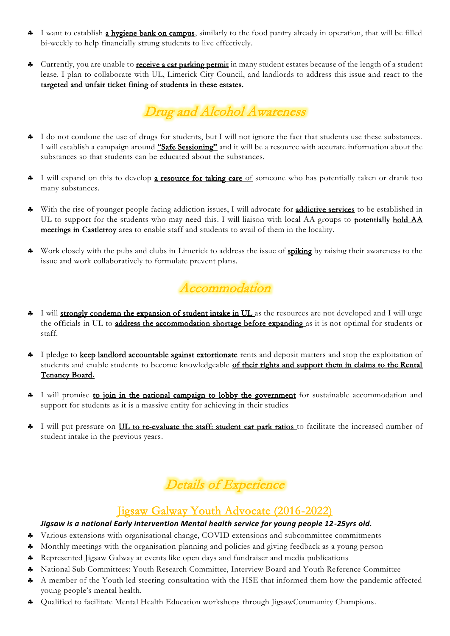- I want to establish a hygiene bank on campus, similarly to the food pantry already in operation, that will be filled bi-weekly to help financially strung students to live effectively.
- Currently, you are unable to **receive a car parking permit** in many student estates because of the length of a student lease. I plan to collaborate with UL, Limerick City Council, and landlords to address this issue and react to the targeted and unfair ticket fining of students in these estates.



- I do not condone the use of drugs for students, but I will not ignore the fact that students use these substances. I will establish a campaign around "Safe Sessioning" and it will be a resource with accurate information about the substances so that students can be educated about the substances.
- I will expand on this to develop a resource for taking care of someone who has potentially taken or drank too many substances.
- With the rise of younger people facing addiction issues, I will advocate for **addictive services** to be established in UL to support for the students who may need this. I will liaison with local AA groups to **potentially hold AA** meetings in Castletroy area to enable staff and students to avail of them in the locality.
- Work closely with the pubs and clubs in Limerick to address the issue of **spiking** by raising their awareness to the issue and work collaboratively to formulate prevent plans.



- I will strongly condemn the expansion of student intake in UL as the resources are not developed and I will urge the officials in UL to address the accommodation shortage before expanding as it is not optimal for students or staff.
- <sup>4</sup> I pledge to keep landlord accountable against extortionate rents and deposit matters and stop the exploitation of students and enable students to become knowledgeable of their rights and support them in claims to the Rental Tenancy Board.
- <sup>4</sup> I will promise to join in the national campaign to lobby the government for sustainable accommodation and support for students as it is a massive entity for achieving in their studies
- I will put pressure on UL to re-evaluate the staff: student car park ratios to facilitate the increased number of student intake in the previous years.

## Details of Experience

### Jigsaw Galway Youth Advocate (2016-2022)

#### *Jigsaw is a national Early intervention Mental health service for young people 12-25yrs old.*

- Various extensions with organisational change, COVID extensions and subcommittee commitments
- Monthly meetings with the organisation planning and policies and giving feedback as a young person
- \* Represented Jigsaw Galway at events like open days and fundraiser and media publications
- National Sub Committees: Youth Research Committee, Interview Board and Youth Reference Committee
- A member of the Youth led steering consultation with the HSE that informed them how the pandemic affected young people's mental health.
- Qualified to facilitate Mental Health Education workshops through JigsawCommunity Champions.